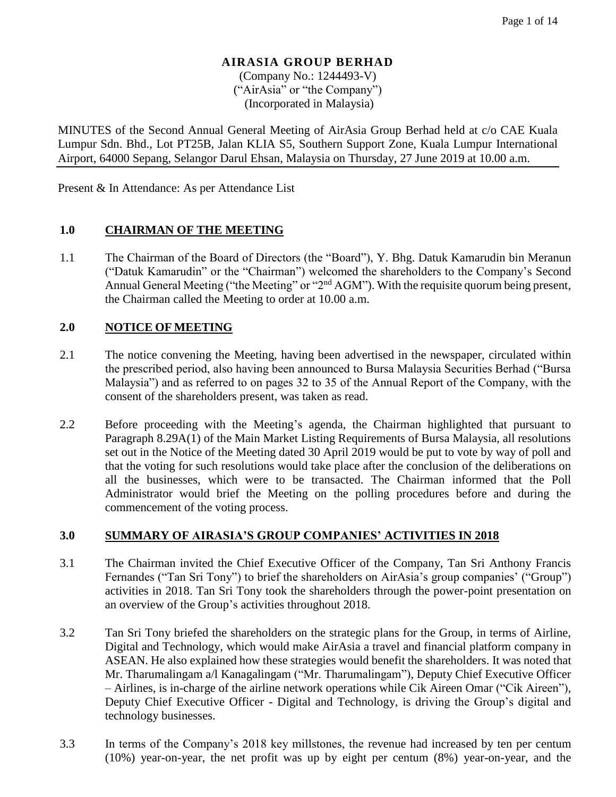(Company No.: 1244493-V) ("AirAsia" or "the Company") (Incorporated in Malaysia)

MINUTES of the Second Annual General Meeting of AirAsia Group Berhad held at c/o CAE Kuala Lumpur Sdn. Bhd., Lot PT25B, Jalan KLIA S5, Southern Support Zone, Kuala Lumpur International Airport, 64000 Sepang, Selangor Darul Ehsan, Malaysia on Thursday, 27 June 2019 at 10.00 a.m.

Present & In Attendance: As per Attendance List

#### **1.0 CHAIRMAN OF THE MEETING**

1.1 The Chairman of the Board of Directors (the "Board"), Y. Bhg. Datuk Kamarudin bin Meranun ("Datuk Kamarudin" or the "Chairman") welcomed the shareholders to the Company's Second Annual General Meeting ("the Meeting" or "2<sup>nd</sup> AGM"). With the requisite quorum being present, the Chairman called the Meeting to order at 10.00 a.m.

#### **2.0 NOTICE OF MEETING**

- 2.1 The notice convening the Meeting, having been advertised in the newspaper, circulated within the prescribed period, also having been announced to Bursa Malaysia Securities Berhad ("Bursa Malaysia") and as referred to on pages 32 to 35 of the Annual Report of the Company, with the consent of the shareholders present, was taken as read.
- 2.2 Before proceeding with the Meeting's agenda, the Chairman highlighted that pursuant to Paragraph 8.29A(1) of the Main Market Listing Requirements of Bursa Malaysia, all resolutions set out in the Notice of the Meeting dated 30 April 2019 would be put to vote by way of poll and that the voting for such resolutions would take place after the conclusion of the deliberations on all the businesses, which were to be transacted. The Chairman informed that the Poll Administrator would brief the Meeting on the polling procedures before and during the commencement of the voting process.

#### **3.0 SUMMARY OF AIRASIA'S GROUP COMPANIES' ACTIVITIES IN 2018**

- 3.1 The Chairman invited the Chief Executive Officer of the Company, Tan Sri Anthony Francis Fernandes ("Tan Sri Tony") to brief the shareholders on AirAsia's group companies' ("Group") activities in 2018. Tan Sri Tony took the shareholders through the power-point presentation on an overview of the Group's activities throughout 2018.
- 3.2 Tan Sri Tony briefed the shareholders on the strategic plans for the Group, in terms of Airline, Digital and Technology, which would make AirAsia a travel and financial platform company in ASEAN. He also explained how these strategies would benefit the shareholders. It was noted that Mr. Tharumalingam a/l Kanagalingam ("Mr. Tharumalingam"), Deputy Chief Executive Officer – Airlines, is in-charge of the airline network operations while Cik Aireen Omar ("Cik Aireen"), Deputy Chief Executive Officer - Digital and Technology, is driving the Group's digital and technology businesses.
- 3.3 In terms of the Company's 2018 key millstones, the revenue had increased by ten per centum (10%) year-on-year, the net profit was up by eight per centum (8%) year-on-year, and the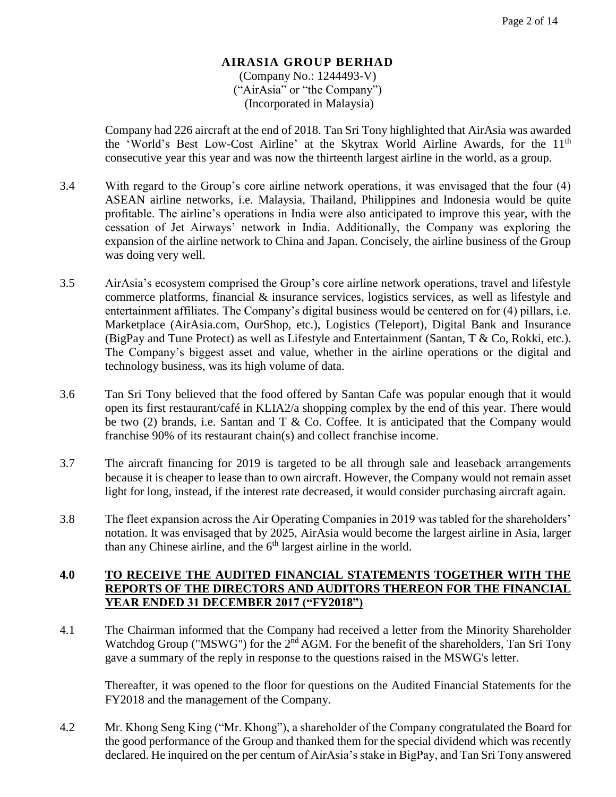(Company No.: 1244493-V) ("AirAsia" or "the Company") (Incorporated in Malaysia)

Company had 226 aircraft at the end of 2018. Tan Sri Tony highlighted that AirAsia was awarded the 'World's Best Low-Cost Airline' at the Skytrax World Airline Awards, for the 11<sup>th</sup> consecutive year this year and was now the thirteenth largest airline in the world, as a group.

- 3.4 With regard to the Group's core airline network operations, it was envisaged that the four (4) ASEAN airline networks, i.e. Malaysia, Thailand, Philippines and Indonesia would be quite profitable. The airline's operations in India were also anticipated to improve this year, with the cessation of Jet Airways' network in India. Additionally, the Company was exploring the expansion of the airline network to China and Japan. Concisely, the airline business of the Group was doing very well.
- 3.5 AirAsia's ecosystem comprised the Group's core airline network operations, travel and lifestyle commerce platforms, financial  $\&$  insurance services, logistics services, as well as lifestyle and entertainment affiliates. The Company's digital business would be centered on for (4) pillars, i.e. Marketplace (AirAsia.com, OurShop, etc.), Logistics (Teleport), Digital Bank and Insurance (BigPay and Tune Protect) as well as Lifestyle and Entertainment (Santan, T & Co, Rokki, etc.). The Company's biggest asset and value, whether in the airline operations or the digital and technology business, was its high volume of data.
- 3.6 Tan Sri Tony believed that the food offered by Santan Cafe was popular enough that it would open its first restaurant/café in KLIA2/a shopping complex by the end of this year. There would be two (2) brands, i.e. Santan and  $T \&$  Co. Coffee. It is anticipated that the Company would franchise 90% of its restaurant chain(s) and collect franchise income.
- 3.7 The aircraft financing for 2019 is targeted to be all through sale and leaseback arrangements because it is cheaper to lease than to own aircraft. However, the Company would not remain asset light for long, instead, if the interest rate decreased, it would consider purchasing aircraft again.
- 3.8 The fleet expansion across the Air Operating Companies in 2019 was tabled for the shareholders' notation. It was envisaged that by 2025, AirAsia would become the largest airline in Asia, larger than any Chinese airline, and the  $6<sup>th</sup>$  largest airline in the world.

## **4.0 TO RECEIVE THE AUDITED FINANCIAL STATEMENTS TOGETHER WITH THE REPORTS OF THE DIRECTORS AND AUDITORS THEREON FOR THE FINANCIAL YEAR ENDED 31 DECEMBER 2017 ("FY2018")**

4.1 The Chairman informed that the Company had received a letter from the Minority Shareholder Watchdog Group ("MSWG") for the 2<sup>nd</sup> AGM. For the benefit of the shareholders, Tan Sri Tony gave a summary of the reply in response to the questions raised in the MSWG's letter.

Thereafter, it was opened to the floor for questions on the Audited Financial Statements for the FY2018 and the management of the Company.

4.2 Mr. Khong Seng King ("Mr. Khong"), a shareholder of the Company congratulated the Board for the good performance of the Group and thanked them for the special dividend which was recently declared. He inquired on the per centum of AirAsia's stake in BigPay, and Tan Sri Tony answered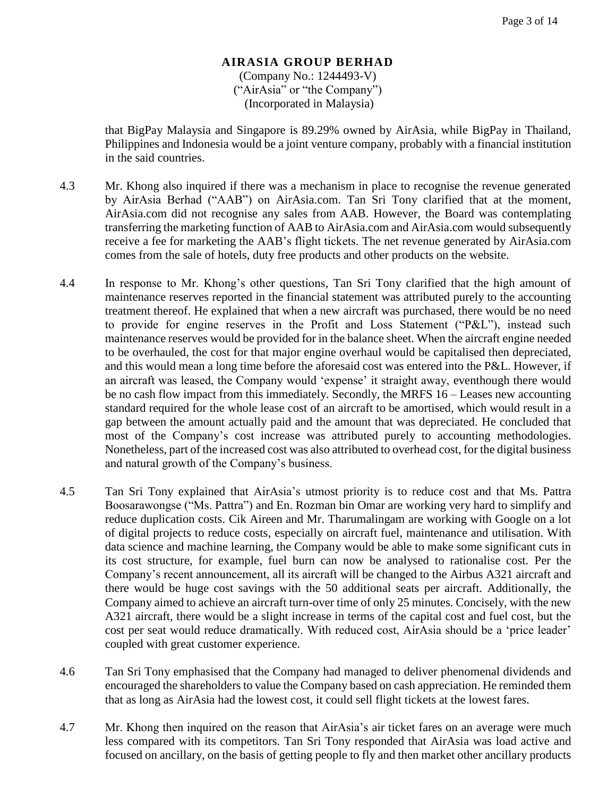(Company No.: 1244493-V) ("AirAsia" or "the Company") (Incorporated in Malaysia)

that BigPay Malaysia and Singapore is 89.29% owned by AirAsia, while BigPay in Thailand, Philippines and Indonesia would be a joint venture company, probably with a financial institution in the said countries.

- 4.3 Mr. Khong also inquired if there was a mechanism in place to recognise the revenue generated by AirAsia Berhad ("AAB") on AirAsia.com. Tan Sri Tony clarified that at the moment, AirAsia.com did not recognise any sales from AAB. However, the Board was contemplating transferring the marketing function of AAB to AirAsia.com and AirAsia.com would subsequently receive a fee for marketing the AAB's flight tickets. The net revenue generated by AirAsia.com comes from the sale of hotels, duty free products and other products on the website.
- 4.4 In response to Mr. Khong's other questions, Tan Sri Tony clarified that the high amount of maintenance reserves reported in the financial statement was attributed purely to the accounting treatment thereof. He explained that when a new aircraft was purchased, there would be no need to provide for engine reserves in the Profit and Loss Statement ("P&L"), instead such maintenance reserves would be provided for in the balance sheet. When the aircraft engine needed to be overhauled, the cost for that major engine overhaul would be capitalised then depreciated, and this would mean a long time before the aforesaid cost was entered into the P&L. However, if an aircraft was leased, the Company would 'expense' it straight away, eventhough there would be no cash flow impact from this immediately. Secondly, the MRFS 16 – Leases new accounting standard required for the whole lease cost of an aircraft to be amortised, which would result in a gap between the amount actually paid and the amount that was depreciated. He concluded that most of the Company's cost increase was attributed purely to accounting methodologies. Nonetheless, part of the increased cost was also attributed to overhead cost, for the digital business and natural growth of the Company's business.
- 4.5 Tan Sri Tony explained that AirAsia's utmost priority is to reduce cost and that Ms. Pattra Boosarawongse ("Ms. Pattra") and En. Rozman bin Omar are working very hard to simplify and reduce duplication costs. Cik Aireen and Mr. Tharumalingam are working with Google on a lot of digital projects to reduce costs, especially on aircraft fuel, maintenance and utilisation. With data science and machine learning, the Company would be able to make some significant cuts in its cost structure, for example, fuel burn can now be analysed to rationalise cost. Per the Company's recent announcement, all its aircraft will be changed to the Airbus A321 aircraft and there would be huge cost savings with the 50 additional seats per aircraft. Additionally, the Company aimed to achieve an aircraft turn-over time of only 25 minutes. Concisely, with the new A321 aircraft, there would be a slight increase in terms of the capital cost and fuel cost, but the cost per seat would reduce dramatically. With reduced cost, AirAsia should be a 'price leader' coupled with great customer experience.
- 4.6 Tan Sri Tony emphasised that the Company had managed to deliver phenomenal dividends and encouraged the shareholders to value the Company based on cash appreciation. He reminded them that as long as AirAsia had the lowest cost, it could sell flight tickets at the lowest fares.
- 4.7 Mr. Khong then inquired on the reason that AirAsia's air ticket fares on an average were much less compared with its competitors. Tan Sri Tony responded that AirAsia was load active and focused on ancillary, on the basis of getting people to fly and then market other ancillary products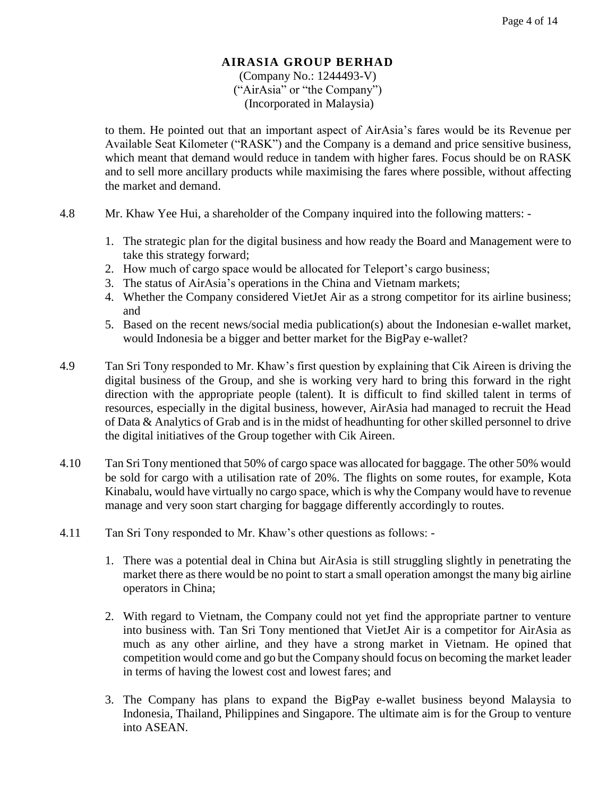(Company No.: 1244493-V) ("AirAsia" or "the Company") (Incorporated in Malaysia)

to them. He pointed out that an important aspect of AirAsia's fares would be its Revenue per Available Seat Kilometer ("RASK") and the Company is a demand and price sensitive business, which meant that demand would reduce in tandem with higher fares. Focus should be on RASK and to sell more ancillary products while maximising the fares where possible, without affecting the market and demand.

- 4.8 Mr. Khaw Yee Hui, a shareholder of the Company inquired into the following matters:
	- 1. The strategic plan for the digital business and how ready the Board and Management were to take this strategy forward;
	- 2. How much of cargo space would be allocated for Teleport's cargo business;
	- 3. The status of AirAsia's operations in the China and Vietnam markets;
	- 4. Whether the Company considered VietJet Air as a strong competitor for its airline business; and
	- 5. Based on the recent news/social media publication(s) about the Indonesian e-wallet market, would Indonesia be a bigger and better market for the BigPay e-wallet?
- 4.9 Tan Sri Tony responded to Mr. Khaw's first question by explaining that Cik Aireen is driving the digital business of the Group, and she is working very hard to bring this forward in the right direction with the appropriate people (talent). It is difficult to find skilled talent in terms of resources, especially in the digital business, however, AirAsia had managed to recruit the Head of Data & Analytics of Grab and is in the midst of headhunting for other skilled personnel to drive the digital initiatives of the Group together with Cik Aireen.
- 4.10 Tan Sri Tony mentioned that 50% of cargo space was allocated for baggage. The other 50% would be sold for cargo with a utilisation rate of 20%. The flights on some routes, for example, Kota Kinabalu, would have virtually no cargo space, which is why the Company would have to revenue manage and very soon start charging for baggage differently accordingly to routes.
- 4.11 Tan Sri Tony responded to Mr. Khaw's other questions as follows:
	- 1. There was a potential deal in China but AirAsia is still struggling slightly in penetrating the market there as there would be no point to start a small operation amongst the many big airline operators in China;
	- 2. With regard to Vietnam, the Company could not yet find the appropriate partner to venture into business with. Tan Sri Tony mentioned that VietJet Air is a competitor for AirAsia as much as any other airline, and they have a strong market in Vietnam. He opined that competition would come and go but the Company should focus on becoming the market leader in terms of having the lowest cost and lowest fares; and
	- 3. The Company has plans to expand the BigPay e-wallet business beyond Malaysia to Indonesia, Thailand, Philippines and Singapore. The ultimate aim is for the Group to venture into ASEAN.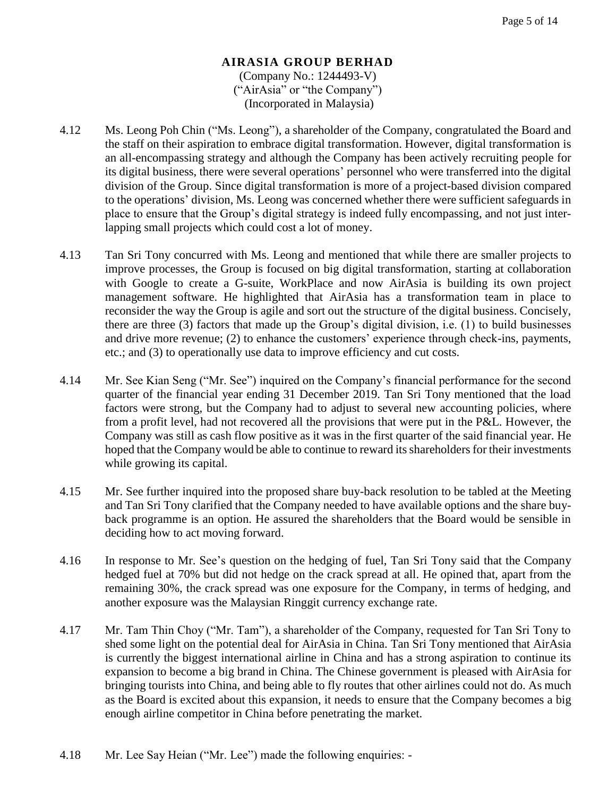#### **AIRASIA GROUP BERHAD** (Company No.: 1244493-V) ("AirAsia" or "the Company")

(Incorporated in Malaysia)

- 4.12 Ms. Leong Poh Chin ("Ms. Leong"), a shareholder of the Company, congratulated the Board and the staff on their aspiration to embrace digital transformation. However, digital transformation is an all-encompassing strategy and although the Company has been actively recruiting people for its digital business, there were several operations' personnel who were transferred into the digital division of the Group. Since digital transformation is more of a project-based division compared to the operations' division, Ms. Leong was concerned whether there were sufficient safeguards in place to ensure that the Group's digital strategy is indeed fully encompassing, and not just interlapping small projects which could cost a lot of money.
- 4.13 Tan Sri Tony concurred with Ms. Leong and mentioned that while there are smaller projects to improve processes, the Group is focused on big digital transformation, starting at collaboration with Google to create a G-suite, WorkPlace and now AirAsia is building its own project management software. He highlighted that AirAsia has a transformation team in place to reconsider the way the Group is agile and sort out the structure of the digital business. Concisely, there are three (3) factors that made up the Group's digital division, i.e. (1) to build businesses and drive more revenue; (2) to enhance the customers' experience through check-ins, payments, etc.; and (3) to operationally use data to improve efficiency and cut costs.
- 4.14 Mr. See Kian Seng ("Mr. See") inquired on the Company's financial performance for the second quarter of the financial year ending 31 December 2019. Tan Sri Tony mentioned that the load factors were strong, but the Company had to adjust to several new accounting policies, where from a profit level, had not recovered all the provisions that were put in the P&L. However, the Company was still as cash flow positive as it was in the first quarter of the said financial year. He hoped that the Company would be able to continue to reward its shareholders for their investments while growing its capital.
- 4.15 Mr. See further inquired into the proposed share buy-back resolution to be tabled at the Meeting and Tan Sri Tony clarified that the Company needed to have available options and the share buyback programme is an option. He assured the shareholders that the Board would be sensible in deciding how to act moving forward.
- 4.16 In response to Mr. See's question on the hedging of fuel, Tan Sri Tony said that the Company hedged fuel at 70% but did not hedge on the crack spread at all. He opined that, apart from the remaining 30%, the crack spread was one exposure for the Company, in terms of hedging, and another exposure was the Malaysian Ringgit currency exchange rate.
- 4.17 Mr. Tam Thin Choy ("Mr. Tam"), a shareholder of the Company, requested for Tan Sri Tony to shed some light on the potential deal for AirAsia in China. Tan Sri Tony mentioned that AirAsia is currently the biggest international airline in China and has a strong aspiration to continue its expansion to become a big brand in China. The Chinese government is pleased with AirAsia for bringing tourists into China, and being able to fly routes that other airlines could not do. As much as the Board is excited about this expansion, it needs to ensure that the Company becomes a big enough airline competitor in China before penetrating the market.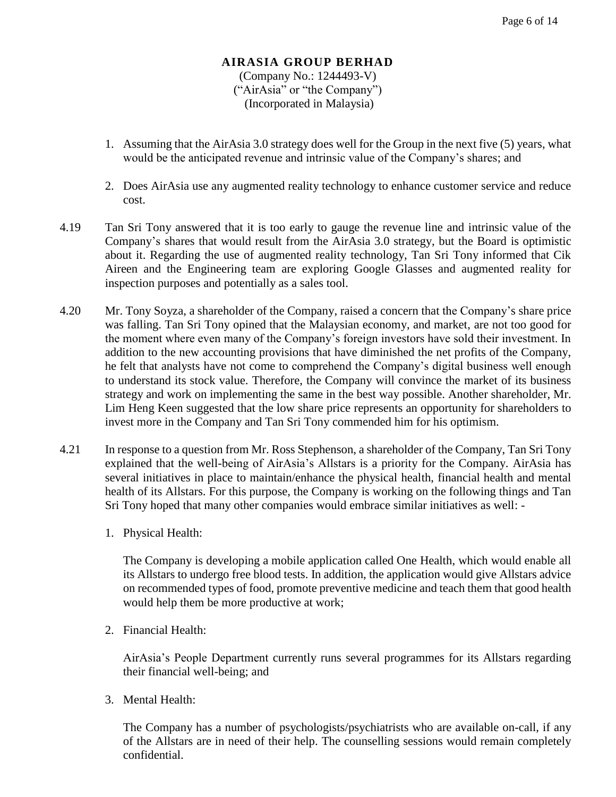#### **AIRASIA GROUP BERHAD** (Company No.: 1244493-V)

("AirAsia" or "the Company") (Incorporated in Malaysia)

- 1. Assuming that the AirAsia 3.0 strategy does well for the Group in the next five (5) years, what would be the anticipated revenue and intrinsic value of the Company's shares; and
- 2. Does AirAsia use any augmented reality technology to enhance customer service and reduce cost.
- 4.19 Tan Sri Tony answered that it is too early to gauge the revenue line and intrinsic value of the Company's shares that would result from the AirAsia 3.0 strategy, but the Board is optimistic about it. Regarding the use of augmented reality technology, Tan Sri Tony informed that Cik Aireen and the Engineering team are exploring Google Glasses and augmented reality for inspection purposes and potentially as a sales tool.
- 4.20 Mr. Tony Soyza, a shareholder of the Company, raised a concern that the Company's share price was falling. Tan Sri Tony opined that the Malaysian economy, and market, are not too good for the moment where even many of the Company's foreign investors have sold their investment. In addition to the new accounting provisions that have diminished the net profits of the Company, he felt that analysts have not come to comprehend the Company's digital business well enough to understand its stock value. Therefore, the Company will convince the market of its business strategy and work on implementing the same in the best way possible. Another shareholder, Mr. Lim Heng Keen suggested that the low share price represents an opportunity for shareholders to invest more in the Company and Tan Sri Tony commended him for his optimism.
- 4.21 In response to a question from Mr. Ross Stephenson, a shareholder of the Company, Tan Sri Tony explained that the well-being of AirAsia's Allstars is a priority for the Company. AirAsia has several initiatives in place to maintain/enhance the physical health, financial health and mental health of its Allstars. For this purpose, the Company is working on the following things and Tan Sri Tony hoped that many other companies would embrace similar initiatives as well: -
	- 1. Physical Health:

The Company is developing a mobile application called One Health, which would enable all its Allstars to undergo free blood tests. In addition, the application would give Allstars advice on recommended types of food, promote preventive medicine and teach them that good health would help them be more productive at work;

2. Financial Health:

AirAsia's People Department currently runs several programmes for its Allstars regarding their financial well-being; and

3. Mental Health:

The Company has a number of psychologists/psychiatrists who are available on-call, if any of the Allstars are in need of their help. The counselling sessions would remain completely confidential.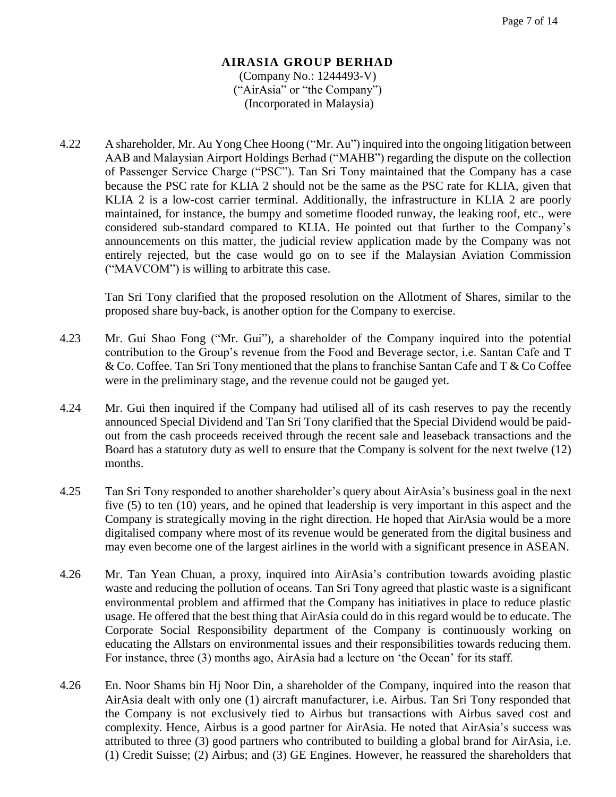#### **AIRASIA GROUP BERHAD** (Company No.: 1244493-V) ("AirAsia" or "the Company") (Incorporated in Malaysia)

4.22 A shareholder, Mr. Au Yong Chee Hoong ("Mr. Au") inquired into the ongoing litigation between AAB and Malaysian Airport Holdings Berhad ("MAHB") regarding the dispute on the collection of Passenger Service Charge ("PSC"). Tan Sri Tony maintained that the Company has a case because the PSC rate for KLIA 2 should not be the same as the PSC rate for KLIA, given that KLIA 2 is a low-cost carrier terminal. Additionally, the infrastructure in KLIA 2 are poorly maintained, for instance, the bumpy and sometime flooded runway, the leaking roof, etc., were considered sub-standard compared to KLIA. He pointed out that further to the Company's announcements on this matter, the judicial review application made by the Company was not entirely rejected, but the case would go on to see if the Malaysian Aviation Commission ("MAVCOM") is willing to arbitrate this case.

Tan Sri Tony clarified that the proposed resolution on the Allotment of Shares, similar to the proposed share buy-back, is another option for the Company to exercise.

- 4.23 Mr. Gui Shao Fong ("Mr. Gui"), a shareholder of the Company inquired into the potential contribution to the Group's revenue from the Food and Beverage sector, i.e. Santan Cafe and T & Co. Coffee. Tan Sri Tony mentioned that the plans to franchise Santan Cafe and T & Co Coffee were in the preliminary stage, and the revenue could not be gauged yet.
- 4.24 Mr. Gui then inquired if the Company had utilised all of its cash reserves to pay the recently announced Special Dividend and Tan Sri Tony clarified that the Special Dividend would be paidout from the cash proceeds received through the recent sale and leaseback transactions and the Board has a statutory duty as well to ensure that the Company is solvent for the next twelve (12) months.
- 4.25 Tan Sri Tony responded to another shareholder's query about AirAsia's business goal in the next five (5) to ten (10) years, and he opined that leadership is very important in this aspect and the Company is strategically moving in the right direction. He hoped that AirAsia would be a more digitalised company where most of its revenue would be generated from the digital business and may even become one of the largest airlines in the world with a significant presence in ASEAN.
- 4.26 Mr. Tan Yean Chuan, a proxy, inquired into AirAsia's contribution towards avoiding plastic waste and reducing the pollution of oceans. Tan Sri Tony agreed that plastic waste is a significant environmental problem and affirmed that the Company has initiatives in place to reduce plastic usage. He offered that the best thing that AirAsia could do in this regard would be to educate. The Corporate Social Responsibility department of the Company is continuously working on educating the Allstars on environmental issues and their responsibilities towards reducing them. For instance, three (3) months ago, AirAsia had a lecture on 'the Ocean' for its staff.
- 4.26 En. Noor Shams bin Hj Noor Din, a shareholder of the Company, inquired into the reason that AirAsia dealt with only one (1) aircraft manufacturer, i.e. Airbus. Tan Sri Tony responded that the Company is not exclusively tied to Airbus but transactions with Airbus saved cost and complexity. Hence, Airbus is a good partner for AirAsia. He noted that AirAsia's success was attributed to three (3) good partners who contributed to building a global brand for AirAsia, i.e. (1) Credit Suisse; (2) Airbus; and (3) GE Engines. However, he reassured the shareholders that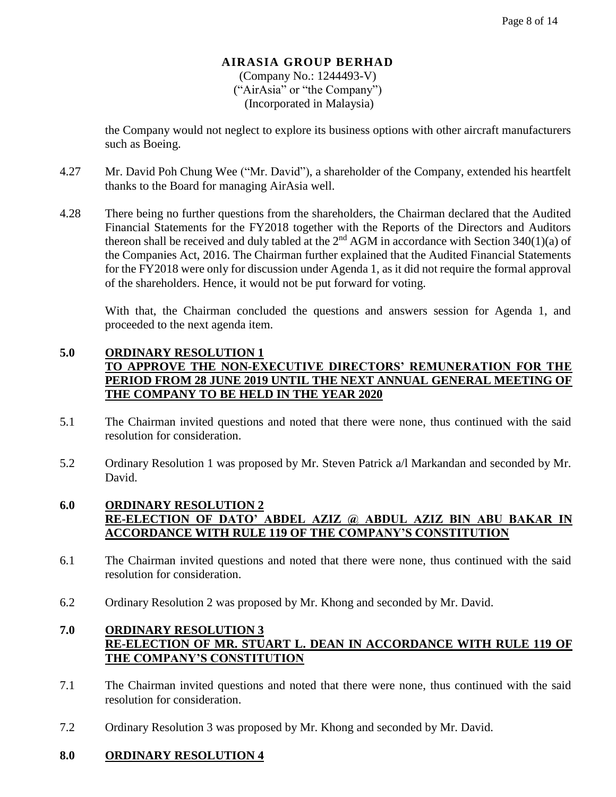(Company No.: 1244493-V) ("AirAsia" or "the Company") (Incorporated in Malaysia)

the Company would not neglect to explore its business options with other aircraft manufacturers such as Boeing.

- 4.27 Mr. David Poh Chung Wee ("Mr. David"), a shareholder of the Company, extended his heartfelt thanks to the Board for managing AirAsia well.
- 4.28 There being no further questions from the shareholders, the Chairman declared that the Audited Financial Statements for the FY2018 together with the Reports of the Directors and Auditors thereon shall be received and duly tabled at the  $2<sup>nd</sup> AGM$  in accordance with Section 340(1)(a) of the Companies Act, 2016. The Chairman further explained that the Audited Financial Statements for the FY2018 were only for discussion under Agenda 1, as it did not require the formal approval of the shareholders. Hence, it would not be put forward for voting.

With that, the Chairman concluded the questions and answers session for Agenda 1, and proceeded to the next agenda item.

# **5.0 ORDINARY RESOLUTION 1 TO APPROVE THE NON-EXECUTIVE DIRECTORS' REMUNERATION FOR THE PERIOD FROM 28 JUNE 2019 UNTIL THE NEXT ANNUAL GENERAL MEETING OF THE COMPANY TO BE HELD IN THE YEAR 2020**

- 5.1 The Chairman invited questions and noted that there were none, thus continued with the said resolution for consideration.
- 5.2 Ordinary Resolution 1 was proposed by Mr. Steven Patrick a/l Markandan and seconded by Mr. David.

## **6.0 ORDINARY RESOLUTION 2 RE-ELECTION OF DATO' ABDEL AZIZ @ ABDUL AZIZ BIN ABU BAKAR IN ACCORDANCE WITH RULE 119 OF THE COMPANY'S CONSTITUTION**

- 6.1 The Chairman invited questions and noted that there were none, thus continued with the said resolution for consideration.
- 6.2 Ordinary Resolution 2 was proposed by Mr. Khong and seconded by Mr. David.

# **7.0 ORDINARY RESOLUTION 3 RE-ELECTION OF MR. STUART L. DEAN IN ACCORDANCE WITH RULE 119 OF THE COMPANY'S CONSTITUTION**

- 7.1 The Chairman invited questions and noted that there were none, thus continued with the said resolution for consideration.
- 7.2 Ordinary Resolution 3 was proposed by Mr. Khong and seconded by Mr. David.

# **8.0 ORDINARY RESOLUTION 4**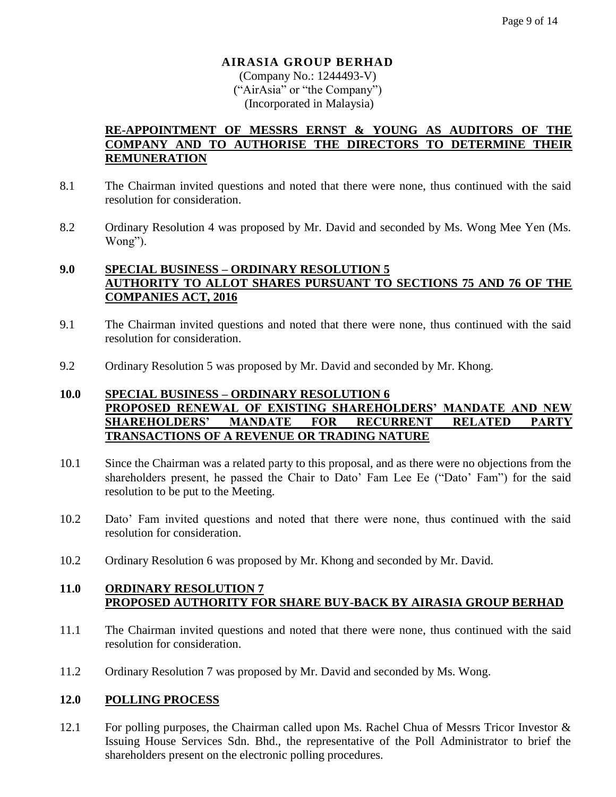(Company No.: 1244493-V) ("AirAsia" or "the Company") (Incorporated in Malaysia)

## **RE-APPOINTMENT OF MESSRS ERNST & YOUNG AS AUDITORS OF THE COMPANY AND TO AUTHORISE THE DIRECTORS TO DETERMINE THEIR REMUNERATION**

- 8.1 The Chairman invited questions and noted that there were none, thus continued with the said resolution for consideration.
- 8.2 Ordinary Resolution 4 was proposed by Mr. David and seconded by Ms. Wong Mee Yen (Ms. Wong").

# **9.0 SPECIAL BUSINESS – ORDINARY RESOLUTION 5 AUTHORITY TO ALLOT SHARES PURSUANT TO SECTIONS 75 AND 76 OF THE COMPANIES ACT, 2016**

- 9.1 The Chairman invited questions and noted that there were none, thus continued with the said resolution for consideration.
- 9.2 Ordinary Resolution 5 was proposed by Mr. David and seconded by Mr. Khong.

## **10.0 SPECIAL BUSINESS – ORDINARY RESOLUTION 6 PROPOSED RENEWAL OF EXISTING SHAREHOLDERS' MANDATE AND NEW SHAREHOLDERS' MANDATE FOR RECURRENT RELATED PARTY TRANSACTIONS OF A REVENUE OR TRADING NATURE**

- 10.1 Since the Chairman was a related party to this proposal, and as there were no objections from the shareholders present, he passed the Chair to Dato' Fam Lee Ee ("Dato' Fam") for the said resolution to be put to the Meeting.
- 10.2 Dato' Fam invited questions and noted that there were none, thus continued with the said resolution for consideration.
- 10.2 Ordinary Resolution 6 was proposed by Mr. Khong and seconded by Mr. David.

# **11.0 ORDINARY RESOLUTION 7 PROPOSED AUTHORITY FOR SHARE BUY-BACK BY AIRASIA GROUP BERHAD**

- 11.1 The Chairman invited questions and noted that there were none, thus continued with the said resolution for consideration.
- 11.2 Ordinary Resolution 7 was proposed by Mr. David and seconded by Ms. Wong.

#### **12.0 POLLING PROCESS**

12.1 For polling purposes, the Chairman called upon Ms. Rachel Chua of Messrs Tricor Investor & Issuing House Services Sdn. Bhd., the representative of the Poll Administrator to brief the shareholders present on the electronic polling procedures.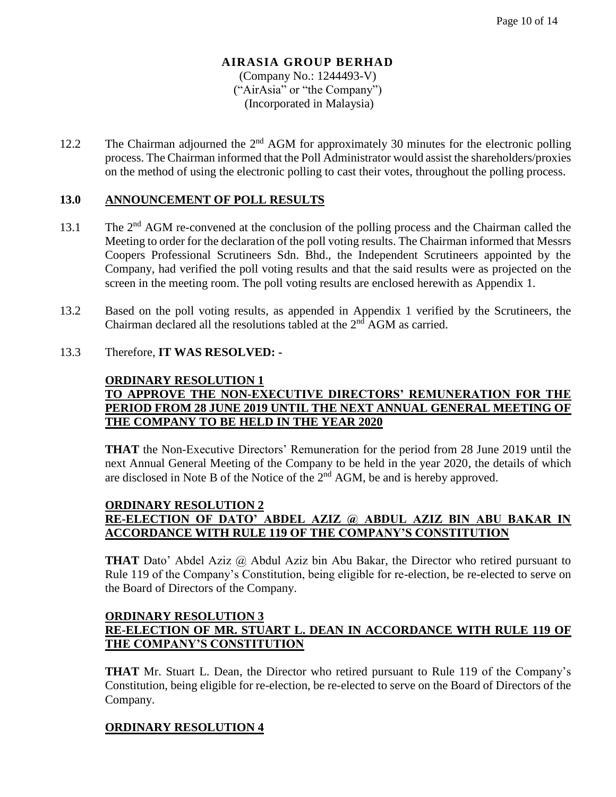# **AIRASIA GROUP BERHAD** (Company No.: 1244493-V)

("AirAsia" or "the Company") (Incorporated in Malaysia)

12.2 The Chairman adjourned the 2<sup>nd</sup> AGM for approximately 30 minutes for the electronic polling process. The Chairman informed that the Poll Administrator would assist the shareholders/proxies on the method of using the electronic polling to cast their votes, throughout the polling process.

# **13.0 ANNOUNCEMENT OF POLL RESULTS**

- 13.1 The 2<sup>nd</sup> AGM re-convened at the conclusion of the polling process and the Chairman called the Meeting to order for the declaration of the poll voting results. The Chairman informed that Messrs Coopers Professional Scrutineers Sdn. Bhd., the Independent Scrutineers appointed by the Company, had verified the poll voting results and that the said results were as projected on the screen in the meeting room. The poll voting results are enclosed herewith as Appendix 1.
- 13.2 Based on the poll voting results, as appended in Appendix 1 verified by the Scrutineers, the Chairman declared all the resolutions tabled at the 2<sup>nd</sup> AGM as carried.

# 13.3 Therefore, **IT WAS RESOLVED: -**

# **ORDINARY RESOLUTION 1 TO APPROVE THE NON-EXECUTIVE DIRECTORS' REMUNERATION FOR THE PERIOD FROM 28 JUNE 2019 UNTIL THE NEXT ANNUAL GENERAL MEETING OF THE COMPANY TO BE HELD IN THE YEAR 2020**

**THAT** the Non-Executive Directors' Remuneration for the period from 28 June 2019 until the next Annual General Meeting of the Company to be held in the year 2020, the details of which are disclosed in Note B of the Notice of the  $2<sup>nd</sup>$  AGM, be and is hereby approved.

#### **ORDINARY RESOLUTION 2 RE-ELECTION OF DATO' ABDEL AZIZ @ ABDUL AZIZ BIN ABU BAKAR IN ACCORDANCE WITH RULE 119 OF THE COMPANY'S CONSTITUTION**

**THAT** Dato' Abdel Aziz @ Abdul Aziz bin Abu Bakar, the Director who retired pursuant to Rule 119 of the Company's Constitution, being eligible for re-election, be re-elected to serve on the Board of Directors of the Company.

# **ORDINARY RESOLUTION 3 RE-ELECTION OF MR. STUART L. DEAN IN ACCORDANCE WITH RULE 119 OF THE COMPANY'S CONSTITUTION**

**THAT** Mr. Stuart L. Dean, the Director who retired pursuant to Rule 119 of the Company's Constitution, being eligible for re-election, be re-elected to serve on the Board of Directors of the Company.

# **ORDINARY RESOLUTION 4**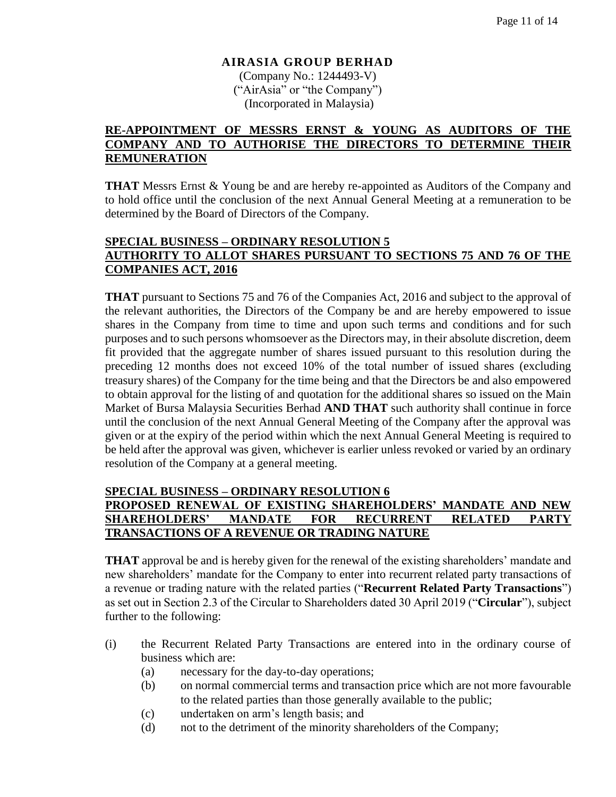(Company No.: 1244493-V) ("AirAsia" or "the Company") (Incorporated in Malaysia)

#### **RE-APPOINTMENT OF MESSRS ERNST & YOUNG AS AUDITORS OF THE COMPANY AND TO AUTHORISE THE DIRECTORS TO DETERMINE THEIR REMUNERATION**

**THAT** Messrs Ernst & Young be and are hereby re-appointed as Auditors of the Company and to hold office until the conclusion of the next Annual General Meeting at a remuneration to be determined by the Board of Directors of the Company.

# **SPECIAL BUSINESS – ORDINARY RESOLUTION 5 AUTHORITY TO ALLOT SHARES PURSUANT TO SECTIONS 75 AND 76 OF THE COMPANIES ACT, 2016**

**THAT** pursuant to Sections 75 and 76 of the Companies Act, 2016 and subject to the approval of the relevant authorities, the Directors of the Company be and are hereby empowered to issue shares in the Company from time to time and upon such terms and conditions and for such purposes and to such persons whomsoever as the Directors may, in their absolute discretion, deem fit provided that the aggregate number of shares issued pursuant to this resolution during the preceding 12 months does not exceed 10% of the total number of issued shares (excluding treasury shares) of the Company for the time being and that the Directors be and also empowered to obtain approval for the listing of and quotation for the additional shares so issued on the Main Market of Bursa Malaysia Securities Berhad **AND THAT** such authority shall continue in force until the conclusion of the next Annual General Meeting of the Company after the approval was given or at the expiry of the period within which the next Annual General Meeting is required to be held after the approval was given, whichever is earlier unless revoked or varied by an ordinary resolution of the Company at a general meeting.

#### **SPECIAL BUSINESS – ORDINARY RESOLUTION 6**

# **PROPOSED RENEWAL OF EXISTING SHAREHOLDERS' MANDATE AND NEW SHAREHOLDERS' MANDATE FOR RECURRENT RELATED PARTY TRANSACTIONS OF A REVENUE OR TRADING NATURE**

**THAT** approval be and is hereby given for the renewal of the existing shareholders' mandate and new shareholders' mandate for the Company to enter into recurrent related party transactions of a revenue or trading nature with the related parties ("**Recurrent Related Party Transactions**") as set out in Section 2.3 of the Circular to Shareholders dated 30 April 2019 ("**Circular**"), subject further to the following:

- (i) the Recurrent Related Party Transactions are entered into in the ordinary course of business which are:
	- (a) necessary for the day-to-day operations;
	- (b) on normal commercial terms and transaction price which are not more favourable to the related parties than those generally available to the public;
	- (c) undertaken on arm's length basis; and
	- (d) not to the detriment of the minority shareholders of the Company;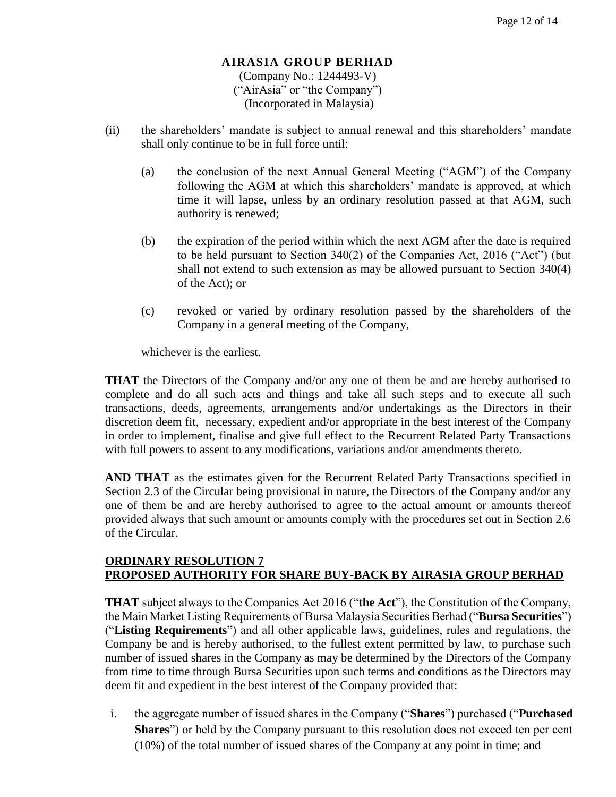(Company No.: 1244493-V) ("AirAsia" or "the Company") (Incorporated in Malaysia)

- (ii) the shareholders' mandate is subject to annual renewal and this shareholders' mandate shall only continue to be in full force until:
	- (a) the conclusion of the next Annual General Meeting ("AGM") of the Company following the AGM at which this shareholders' mandate is approved, at which time it will lapse, unless by an ordinary resolution passed at that AGM, such authority is renewed;
	- (b) the expiration of the period within which the next AGM after the date is required to be held pursuant to Section 340(2) of the Companies Act, 2016 ("Act") (but shall not extend to such extension as may be allowed pursuant to Section 340(4) of the Act); or
	- (c) revoked or varied by ordinary resolution passed by the shareholders of the Company in a general meeting of the Company,

whichever is the earliest.

**THAT** the Directors of the Company and/or any one of them be and are hereby authorised to complete and do all such acts and things and take all such steps and to execute all such transactions, deeds, agreements, arrangements and/or undertakings as the Directors in their discretion deem fit, necessary, expedient and/or appropriate in the best interest of the Company in order to implement, finalise and give full effect to the Recurrent Related Party Transactions with full powers to assent to any modifications, variations and/or amendments thereto.

**AND THAT** as the estimates given for the Recurrent Related Party Transactions specified in Section 2.3 of the Circular being provisional in nature, the Directors of the Company and/or any one of them be and are hereby authorised to agree to the actual amount or amounts thereof provided always that such amount or amounts comply with the procedures set out in Section 2.6 of the Circular.

#### **ORDINARY RESOLUTION 7 PROPOSED AUTHORITY FOR SHARE BUY-BACK BY AIRASIA GROUP BERHAD**

**THAT** subject always to the Companies Act 2016 ("**the Act**"), the Constitution of the Company, the Main Market Listing Requirements of Bursa Malaysia Securities Berhad ("**Bursa Securities**") ("**Listing Requirements**") and all other applicable laws, guidelines, rules and regulations, the Company be and is hereby authorised, to the fullest extent permitted by law, to purchase such number of issued shares in the Company as may be determined by the Directors of the Company from time to time through Bursa Securities upon such terms and conditions as the Directors may deem fit and expedient in the best interest of the Company provided that:

i. the aggregate number of issued shares in the Company ("**Shares**") purchased ("**Purchased Shares**") or held by the Company pursuant to this resolution does not exceed ten per cent (10%) of the total number of issued shares of the Company at any point in time; and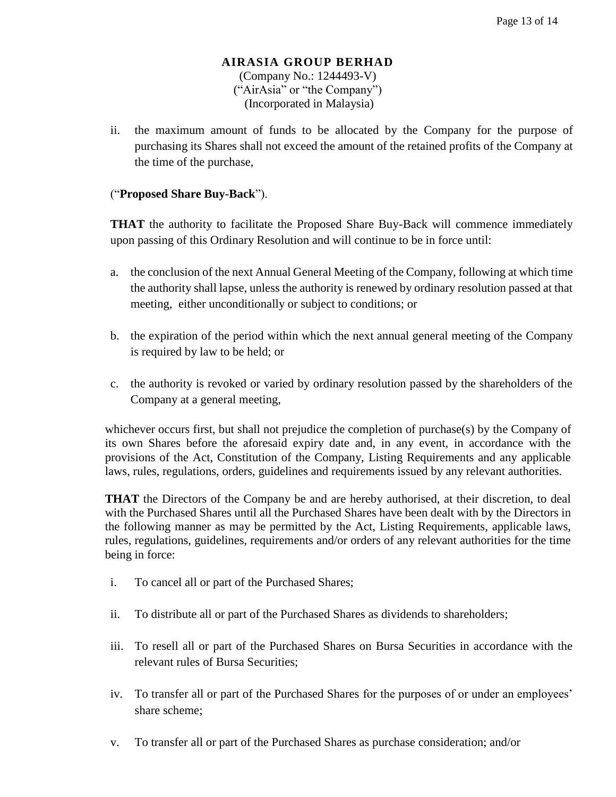#### **AIRASIA GROUP BERHAD** (Company No.: 1244493-V) ("AirAsia" or "the Company") (Incorporated in Malaysia)

ii. the maximum amount of funds to be allocated by the Company for the purpose of purchasing its Shares shall not exceed the amount of the retained profits of the Company at the time of the purchase,

# ("**Proposed Share Buy-Back**").

**THAT** the authority to facilitate the Proposed Share Buy-Back will commence immediately upon passing of this Ordinary Resolution and will continue to be in force until:

- a. the conclusion of the next Annual General Meeting of the Company, following at which time the authority shall lapse, unless the authority is renewed by ordinary resolution passed at that meeting, either unconditionally or subject to conditions; or
- b. the expiration of the period within which the next annual general meeting of the Company is required by law to be held; or
- c. the authority is revoked or varied by ordinary resolution passed by the shareholders of the Company at a general meeting,

whichever occurs first, but shall not prejudice the completion of purchase(s) by the Company of its own Shares before the aforesaid expiry date and, in any event, in accordance with the provisions of the Act, Constitution of the Company, Listing Requirements and any applicable laws, rules, regulations, orders, guidelines and requirements issued by any relevant authorities.

**THAT** the Directors of the Company be and are hereby authorised, at their discretion, to deal with the Purchased Shares until all the Purchased Shares have been dealt with by the Directors in the following manner as may be permitted by the Act, Listing Requirements, applicable laws, rules, regulations, guidelines, requirements and/or orders of any relevant authorities for the time being in force:

- i. To cancel all or part of the Purchased Shares;
- ii. To distribute all or part of the Purchased Shares as dividends to shareholders;
- iii. To resell all or part of the Purchased Shares on Bursa Securities in accordance with the relevant rules of Bursa Securities;
- iv. To transfer all or part of the Purchased Shares for the purposes of or under an employees' share scheme;
- v. To transfer all or part of the Purchased Shares as purchase consideration; and/or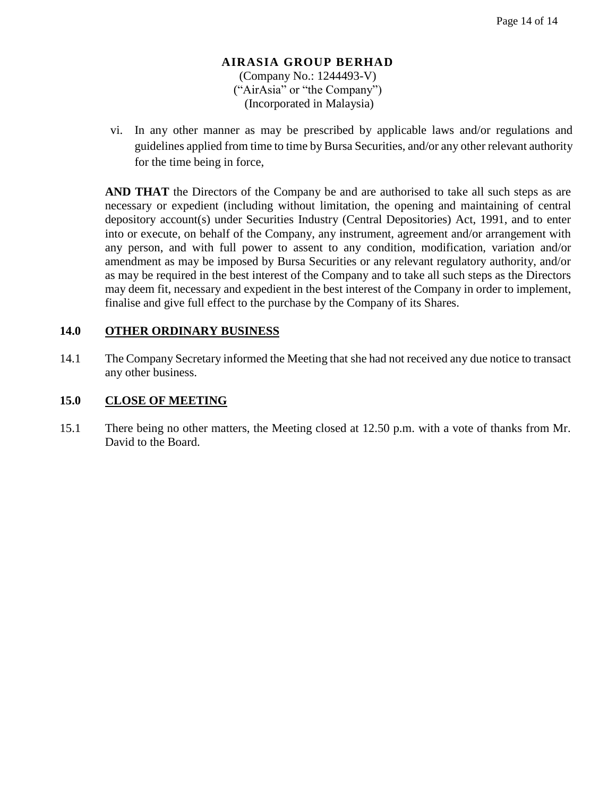#### **AIRASIA GROUP BERHAD** (Company No.: 1244493-V) ("AirAsia" or "the Company") (Incorporated in Malaysia)

vi. In any other manner as may be prescribed by applicable laws and/or regulations and guidelines applied from time to time by Bursa Securities, and/or any other relevant authority for the time being in force,

**AND THAT** the Directors of the Company be and are authorised to take all such steps as are necessary or expedient (including without limitation, the opening and maintaining of central depository account(s) under Securities Industry (Central Depositories) Act, 1991, and to enter into or execute, on behalf of the Company, any instrument, agreement and/or arrangement with any person, and with full power to assent to any condition, modification, variation and/or amendment as may be imposed by Bursa Securities or any relevant regulatory authority, and/or as may be required in the best interest of the Company and to take all such steps as the Directors may deem fit, necessary and expedient in the best interest of the Company in order to implement, finalise and give full effect to the purchase by the Company of its Shares.

# **14.0 OTHER ORDINARY BUSINESS**

14.1 The Company Secretary informed the Meeting that she had not received any due notice to transact any other business.

## **15.0 CLOSE OF MEETING**

15.1 There being no other matters, the Meeting closed at 12.50 p.m. with a vote of thanks from Mr. David to the Board.